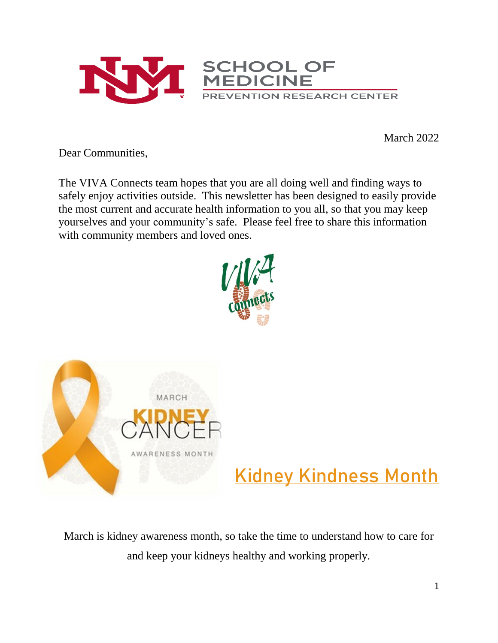

March 2022

Dear Communities,

The VIVA Connects team hopes that you are all doing well and finding ways to safely enjoy activities outside. This newsletter has been designed to easily provide the most current and accurate health information to you all, so that you may keep yourselves and your community's safe. Please feel free to share this information with community members and loved ones.





# **Kidney Kindness Month**

March is kidney awareness month, so take the time to understand how to care for and keep your kidneys healthy and working properly.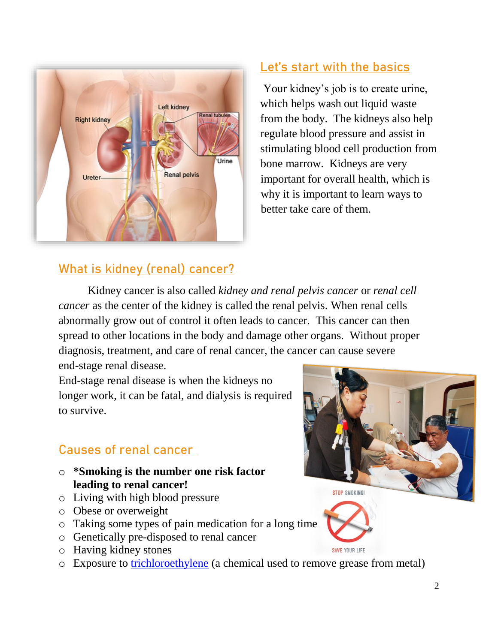

#### **What is kidney (renal) cancer?**

### **Let's start with the basics**

Your kidney's job is to create urine, which helps wash out liquid waste from the body. The kidneys also help regulate blood pressure and assist in stimulating blood cell production from bone marrow. Kidneys are very important for overall health, which is why it is important to learn ways to better take care of them.

Kidney cancer is also called *kidney and renal pelvis cancer* or *renal cell cancer* as the center of the kidney is called the renal pelvis. When renal cells abnormally grow out of control it often leads to cancer. This cancer can then spread to other locations in the body and damage other organs. Without proper diagnosis, treatment, and care of renal cancer, the cancer can cause severe end-stage renal disease.

End-stage renal disease is when the kidneys no longer work, it can be fatal, and dialysis is required to survive.

#### **Causes of renal cancer**

- o **\*Smoking is the number one risk factor leading to renal cancer!**
- o Living with high blood pressure
- o Obese or overweight
- o Taking some types of pain medication for a long time
- o Genetically pre-disposed to renal cancer
- o Having kidney stones
- o Exposure to [trichloroethylene](https://wwwn.cdc.gov/TSP/ToxFAQs/ToxFAQsDetails.aspx?faqid=172&toxid=30) (a chemical used to remove grease from metal)



SAVE YOUR LIFE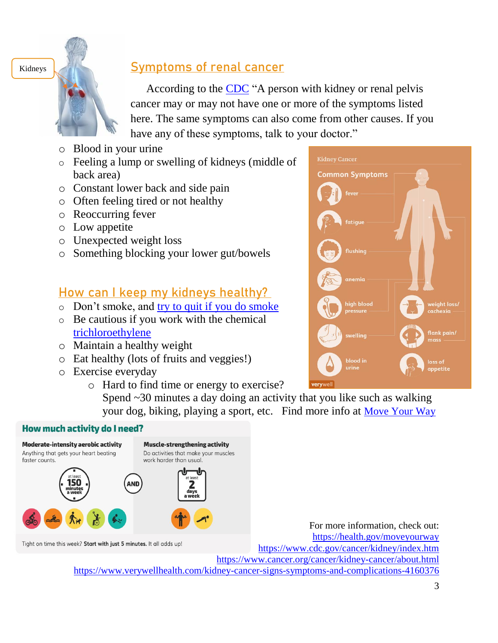Kidneys



#### **Symptoms of renal cancer**

According to the [CDC](https://www.cdc.gov/cancer/kidney/index.htm) "A person with kidney or renal pelvis cancer may or may not have one or more of the symptoms listed here. The same symptoms can also come from other causes. If you have any of these symptoms, talk to your doctor."

- o Blood in your urine
- o Feeling a lump or swelling of kidneys (middle of back area)
- o Constant lower back and side pain
- o Often feeling tired or not healthy
- o Reoccurring fever
- o Low appetite
- o Unexpected weight loss
- o Something blocking your lower gut/bowels

#### **How can I keep my kidneys healthy?**

- o Don't smoke, and [try to quit if you do smoke](https://www.quitnownm.com/?utm_source=Cumulus&utm_medium=CPC&utm_campaign=AdWords_English&gclid=Cj0KCQiA95aRBhCsARIsAC2xvfyd4Fnk2keiBvd47FHrjS0H5x5QUzv7dLFH4Z-P9Kbwvr5_9UJOrV4aApNHEALw_wcB)
- o Be cautious if you work with the chemical [trichloroethylene](https://wwwn.cdc.gov/TSP/ToxFAQs/ToxFAQsDetails.aspx?faqid=172&toxid=30)
- o Maintain a healthy weight
- o Eat healthy (lots of fruits and veggies!)
- o Exercise everyday
	- o Hard to find time or energy to exercise?
		- Spend ~30 minutes a day doing an activity that you like such as walking your dog, biking, playing a sport, etc. Find more info at [Move Your Way](https://health.gov/moveyourway)

#### **How much activity do I need?**



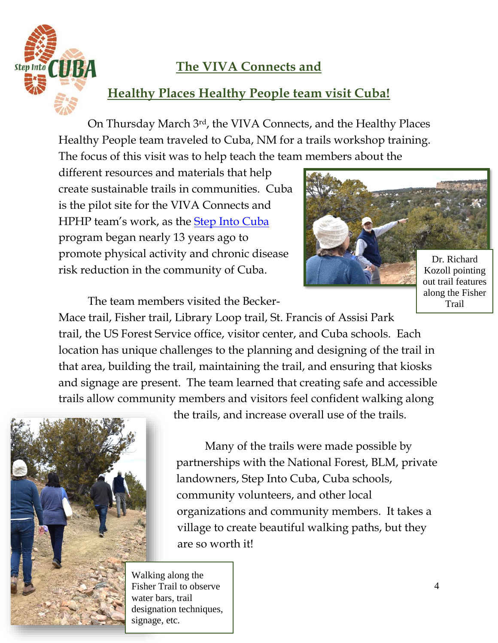

## **The VIVA Connects and**

### **Healthy Places Healthy People team visit Cuba!**

On Thursday March 3rd, the VIVA Connects, and the Healthy Places Healthy People team traveled to Cuba, NM for a trails workshop training. The focus of this visit was to help teach the team members about the

different resources and materials that help create sustainable trails in communities. Cuba is the pilot site for the VIVA Connects and HPHP team's work, as the [Step Into Cuba](https://www.stepintocuba.org/) program began nearly 13 years ago to promote physical activity and chronic disease risk reduction in the community of Cuba.



out trail features along the Fisher Trail

The team members visited the Becker-

Mace trail, Fisher trail, Library Loop trail, St. Francis of Assisi Park trail, the US Forest Service office, visitor center, and Cuba schools. Each location has unique challenges to the planning and designing of the trail in that area, building the trail, maintaining the trail, and ensuring that kiosks and signage are present. The team learned that creating safe and accessible trails allow community members and visitors feel confident walking along



the trails, and increase overall use of the trails.

Many of the trails were made possible by partnerships with the National Forest, BLM, private landowners, Step Into Cuba, Cuba schools, community volunteers, and other local organizations and community members. It takes a village to create beautiful walking paths, but they are so worth it!

Walking along the Fisher Trail to observe water bars, trail designation techniques, signage, etc.